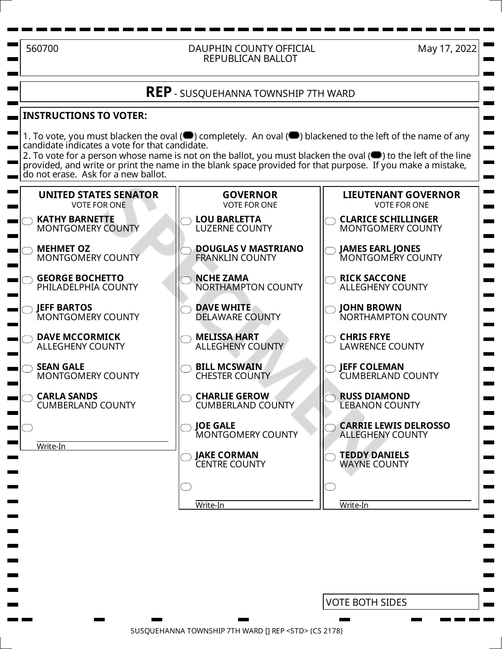## 560700 DAUPHIN COUNTY OFFICIAL REPUBLICAN BALLOT

May 17, 2022

## **REP**- SUSQUEHANNA TOWNSHIP 7TH WARD

## **INSTRUCTIONS TO VOTER:**

1. To vote, you must blacken the oval ( $\bullet$ ) completely. An oval ( $\bullet$ ) blackened to the left of the name of any candidate indicates a vote for that candidate.

2. To vote for a person whose name is not on the ballot, you must blacken the oval  $($ **)** to the left of the line provided, and write or print the name in the blank space provided for that purpose. If you make a mistake, do not erase. Ask for a new ballot.